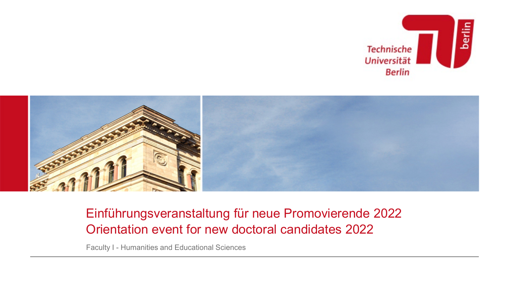



# Einführungsveranstaltung für neue Promovierende 2022 Orientation event for new doctoral candidates 2022

Faculty I - Humanities and Educational Sciences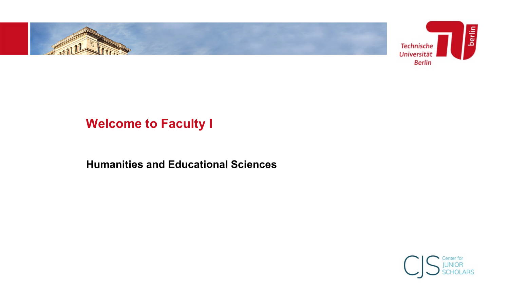

# **Welcome to Faculty I**

**Humanities and Educational Sciences**

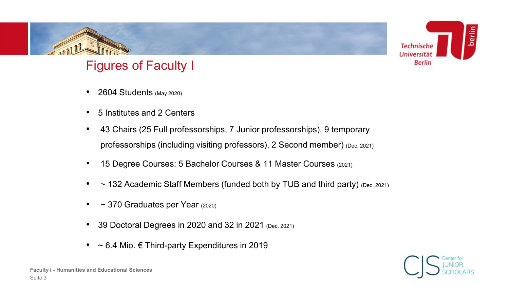

# Figures of Faculty I

- 2604 Students (May 2020)
- 5 Institutes and 2 Centers
- 43 Chairs (25 Full professorships, 7 Junior professorships), 9 temporary professorships (including visiting professors), 2 Second member) (Dec. 2021)
- 15 Degree Courses: 5 Bachelor Courses & 11 Master Courses (2021)
- $\sim$  132 Academic Staff Members (funded both by TUB and third party) (Dec. 2021)
- $\sim$  370 Graduates per Year (2020)
- 39 Doctoral Degrees in 2020 and 32 in 2021 (Dec. 2021)
- $\sim$  6.4 Mio.  $\epsilon$  Third-party Expenditures in 2019

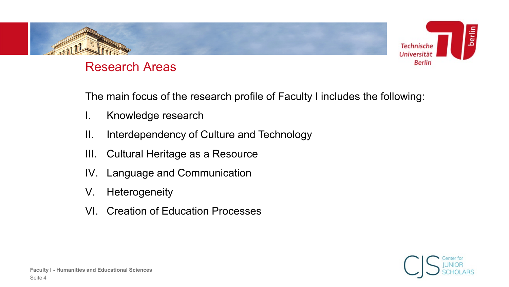

## Research Areas

The main focus of the research profile of Faculty I includes the following:

- I. Knowledge research
- II. Interdependency of Culture and Technology
- III. Cultural Heritage as a Resource
- IV. Language and Communication
- V. Heterogeneity
- VI. Creation of Education Processes

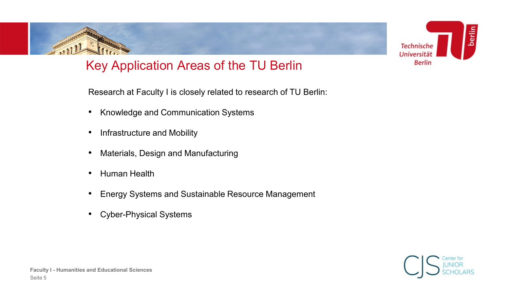

# Key Application Areas of the TU Berlin

Research at Faculty I is closely related to research of TU Berlin:

- Knowledge and Communication Systems
- Infrastructure and Mobility
- Materials, Design and Manufacturing
- Human Health
- Energy Systems and Sustainable Resource Management
- Cyber-Physical Systems

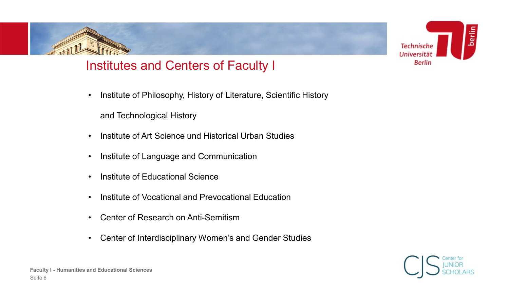



• Institute of Philosophy, History of Literature, Scientific History

and Technological History

- Institute of Art Science und Historical Urban Studies
- Institute of Language and Communication
- Institute of Educational Science
- Institute of Vocational and Prevocational Education
- Center of Research on Anti-Semitism
- Center of Interdisciplinary Women's and Gender Studies



**Technische** Universitä **Berlin** 

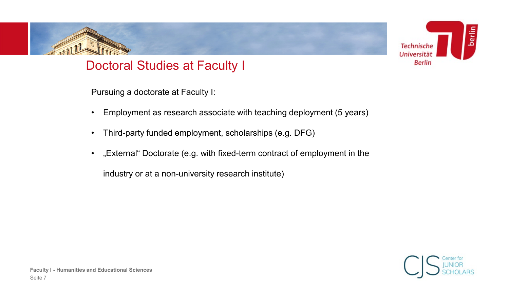



## Doctoral Studies at Faculty I

Pursuing a doctorate at Faculty I:

- Employment as research associate with teaching deployment (5 years)
- Third-party funded employment, scholarships (e.g. DFG)
- "External" Doctorate (e.g. with fixed-term contract of employment in the

industry or at a non-university research institute)

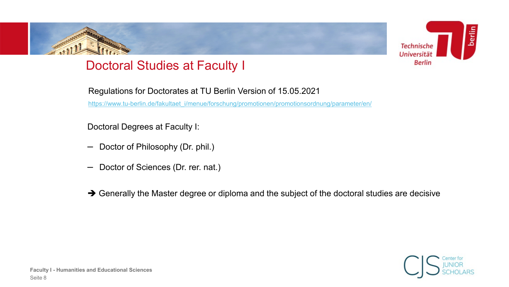# Doctoral Studies at Faculty I

Regulations for Doctorates at TU Berlin Version of 15.05.2021 [https://www.tu-berlin.de/fakultaet\\_i/menue/forschung/promotionen/promotionsordnung/parameter/en/](https://www.tu-berlin.de/fakultaet_i/menue/forschung/promotionen/promotionsordnung/parameter/en/)

Doctoral Degrees at Faculty I:

- Doctor of Philosophy (Dr. phil.)
- Doctor of Sciences (Dr. rer. nat.)
- → Generally the Master degree or diploma and the subject of the doctoral studies are decisive



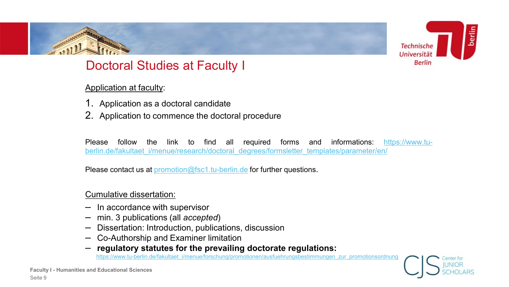

## Doctoral Studies at Faculty I

#### Application at faculty:

- 1. Application as a doctoral candidate
- 2. Application to commence the doctoral procedure

Please follow the link to find all required forms and informations: https://www.tu[berlin.de/fakultaet\\_i/menue/research/doctoral\\_degrees/formsletter\\_templates/parameter/en/](https://www.tu-berlin.de/fakultaet_i/menue/research/doctoral_degrees/formsletter_templates/parameter/en/)

Please contact us at [promotion@fsc1.tu-berlin.de](mailto:promotion@fsc1.tu-berlin.de) for further questions.

#### Cumulative dissertation:

- In accordance with supervisor
- min. 3 publications (all *accepted*)
- Dissertation: Introduction, publications, discussion
- Co-Authorship and Examiner limitation
- **regulatory statutes for the prevailing doctorate regulations:**  [https://www.tu-berlin.de/fakultaet\\_i/menue/forschung/promotionen/ausfuehrungsbestimmungen\\_zur\\_promotionsordnung](https://www.tu-berlin.de/fakultaet_i/menue/forschung/promotionen/ausfuehrungsbestimmungen_zur_promotionsordnung)

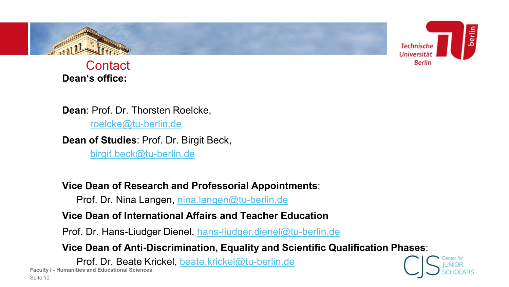



**Contact Dean's office:**

**Dean**: Prof. Dr. Thorsten Roelcke,

[roelcke@tu-berlin.de](mailto:roelcke@tu-berlin.de)

**Dean of Studies**: Prof. Dr. Birgit Beck,

[birgit.beck@tu-berlin.de](mailto:friedrich.steinle@tu-berlin.de)

**Vice Dean of Research and Professorial Appointments**:

Prof. Dr. Nina Langen, [nina.langen@tu-berlin.de](mailto:nina.langen@tu-berlin.de)

**Vice Dean of International Affairs and Teacher Education**

Prof. Dr. Hans-Liudger Dienel, [hans-liudger.dienel@tu-berlin.de](mailto:hans-liudger.dienel@tu-berlin.de)

**Vice Dean of Anti-Discrimination, Equality and Scientific Qualification Phases**:

Prof. Dr. Beate Krickel, [beate.krickel@tu-berlin.de](mailto:beate.krickel@tu-berlin.de)

**Faculty I - Humanities and Educational Sciences** Seite 10

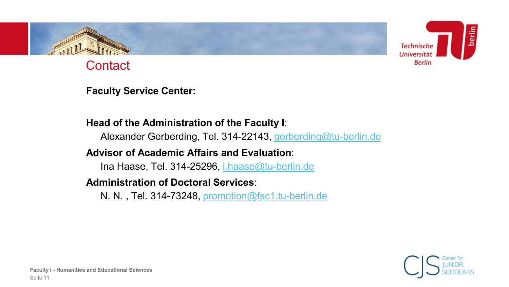

**Contact** 

**Faculty Service Center:**

## **Head of the Administration of the Faculty I**:

Alexander Gerberding, Tel. 314-22143, [gerberding@tu-berlin.de](mailto:gerberding@tu-berlin.de)

## **Advisor of Academic Affairs and Evaluation**:

Ina Haase, Tel. 314-25296, *i.haase@tu-berlin.de* 

### **Administration of Doctoral Services**:

N. N. , Tel. 314-73248, [promotion@fsc1.tu-berlin.de](mailto:promotion@fsc1.tu-berlin.de)